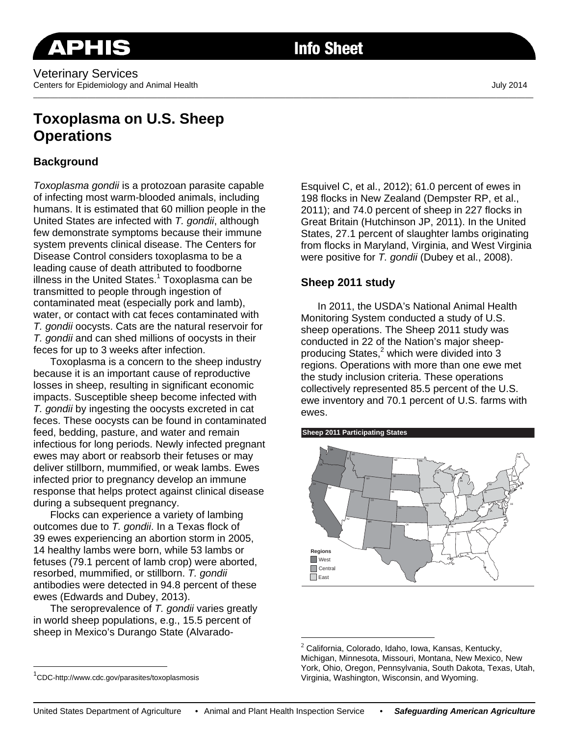# **Toxoplasma on U.S. Sheep Operations**

## **Background**

*Toxoplasma gondii* is a protozoan parasite capable of infecting most warm-blooded animals, including humans. It is estimated that 60 million people in the United States are infected with *T. gondii*, although few demonstrate symptoms because their immune system prevents clinical disease. The Centers for Disease Control considers toxoplasma to be a leading cause of death attributed to foodborne illness in the United States.<sup>1</sup> Toxoplasma can be transmitted to people through ingestion of contaminated meat (especially pork and lamb), water, or contact with cat feces contaminated with *T. gondii* oocysts. Cats are the natural reservoir for *T. gondii* and can shed millions of oocysts in their feces for up to 3 weeks after infection.

Toxoplasma is a concern to the sheep industry because it is an important cause of reproductive losses in sheep, resulting in significant economic impacts. Susceptible sheep become infected with *T. gondii* by ingesting the oocysts excreted in cat feces. These oocysts can be found in contaminated feed, bedding, pasture, and water and remain infectious for long periods. Newly infected pregnant ewes may abort or reabsorb their fetuses or may deliver stillborn, mummified, or weak lambs. Ewes infected prior to pregnancy develop an immune response that helps protect against clinical disease during a subsequent pregnancy.

Flocks can experience a variety of lambing outcomes due to *T. gondii*. In a Texas flock of 39 ewes experiencing an abortion storm in 2005, 14 healthy lambs were born, while 53 lambs or fetuses (79.1 percent of lamb crop) were aborted, resorbed, mummified, or stillborn. *T. gondii* antibodies were detected in 94.8 percent of these ewes (Edwards and Dubey, 2013).

The seroprevalence of *T. gondii* varies greatly in world sheep populations, e.g., 15.5 percent of sheep in Mexico's Durango State (AlvaradoEsquivel C, et al., 2012); 61.0 percent of ewes in 198 flocks in New Zealand (Dempster RP, et al., 2011); and 74.0 percent of sheep in 227 flocks in Great Britain (Hutchinson JP, 2011). In the United States, 27.1 percent of slaughter lambs originating from flocks in Maryland, Virginia, and West Virginia were positive for *T. gondii* (Dubey et al., 2008).

## **Sheep 2011 study**

In 2011, the USDA's National Animal Health Monitoring System conducted a study of U.S. sheep operations. The Sheep 2011 study was conducted in 22 of the Nation's major sheepproducing States,<sup>2</sup> which were divided into 3 regions. Operations with more than one ewe met the study inclusion criteria. These operations collectively represented 85.5 percent of the U.S. ewe inventory and 70.1 percent of U.S. farms with ewes.





 $\overline{a}$ 

 $\overline{a}$ 

 $2$  California, Colorado, Idaho, Iowa, Kansas, Kentucky, Michigan, Minnesota, Missouri, Montana, New Mexico, New York, Ohio, Oregon, Pennsylvania, South Dakota, Texas, Utah, Virginia, Washington, Wisconsin, and Wyoming.

<sup>1</sup> CDC-http://www.cdc.gov/parasites/toxoplasmosis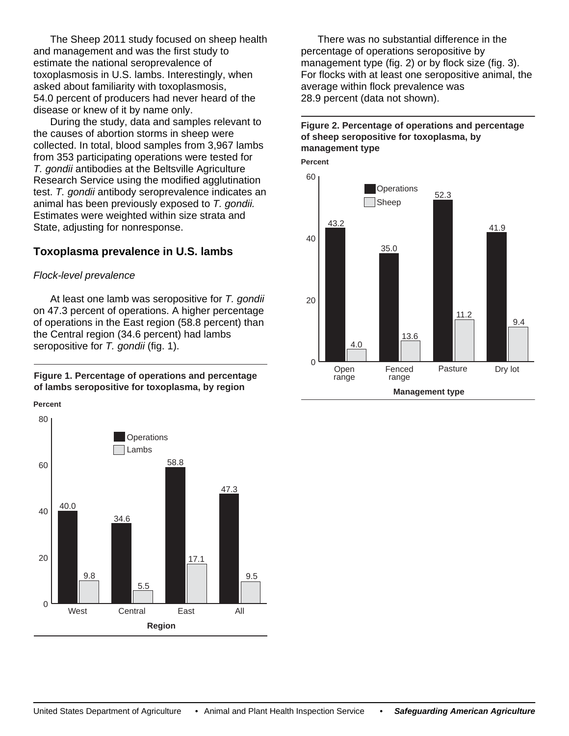The Sheep 2011 study focused on sheep health and management and was the first study to estimate the national seroprevalence of toxoplasmosis in U.S. lambs. Interestingly, when asked about familiarity with toxoplasmosis, 54.0 percent of producers had never heard of the disease or knew of it by name only.

During the study, data and samples relevant to the causes of abortion storms in sheep were collected. In total, blood samples from 3,967 lambs from 353 participating operations were tested for *T. gondii* antibodies at the Beltsville Agriculture Research Service using the modified agglutination test. *T. gondii* antibody seroprevalence indicates an animal has been previously exposed to *T. gondii.* Estimates were weighted within size strata and State, adjusting for nonresponse.

## **Toxoplasma prevalence in U.S. lambs**

#### *Flock-level prevalence*

At least one lamb was seropositive for *T. gondii* on 47.3 percent of operations. A higher percentage of operations in the East region (58.8 percent) than the Central region (34.6 percent) had lambs seropositive for *T. gondii* (fig. 1).

**Figure 1. Percentage of operations and percentage of lambs seropositive for toxoplasma, by region**

**Percent**



There was no substantial difference in the percentage of operations seropositive by management type (fig. 2) or by flock size (fig. 3). For flocks with at least one seropositive animal, the average within flock prevalence was 28.9 percent (data not shown).

## **Figure 2. Percentage of operations and percentage of sheep seropositive for toxoplasma, by management type**

**Percent**

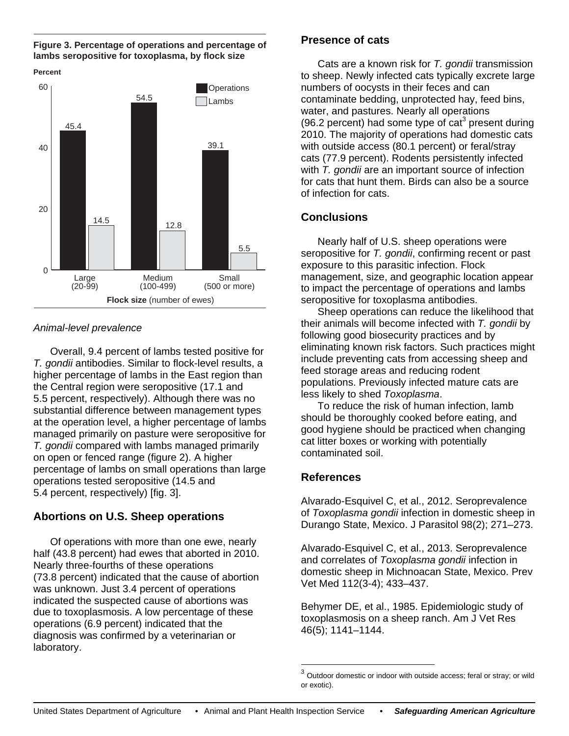**Figure 3. Percentage of operations and percentage of lambs seropositive for toxoplasma, by flock size**



#### *Animal-level prevalence*

Overall, 9.4 percent of lambs tested positive for *T. gondii* antibodies. Similar to flock-level results, a higher percentage of lambs in the East region than the Central region were seropositive (17.1 and 5.5 percent, respectively). Although there was no substantial difference between management types at the operation level, a higher percentage of lambs managed primarily on pasture were seropositive for *T. gondii* compared with lambs managed primarily on open or fenced range (figure 2). A higher percentage of lambs on small operations than large operations tested seropositive (14.5 and 5.4 percent, respectively) [fig. 3].

## **Abortions on U.S. Sheep operations**

Of operations with more than one ewe, nearly half (43.8 percent) had ewes that aborted in 2010. Nearly three-fourths of these operations (73.8 percent) indicated that the cause of abortion was unknown. Just 3.4 percent of operations indicated the suspected cause of abortions was due to toxoplasmosis. A low percentage of these operations (6.9 percent) indicated that the diagnosis was confirmed by a veterinarian or laboratory.

## **Presence of cats**

Cats are a known risk for *T. gondii* transmission to sheep. Newly infected cats typically excrete large numbers of oocysts in their feces and can contaminate bedding, unprotected hay, feed bins, water, and pastures. Nearly all operations (96.2 percent) had some type of  $cat<sup>3</sup>$  present during 2010. The majority of operations had domestic cats with outside access (80.1 percent) or feral/stray cats (77.9 percent). Rodents persistently infected with *T. gondii* are an important source of infection for cats that hunt them. Birds can also be a source of infection for cats.

## **Conclusions**

Nearly half of U.S. sheep operations were seropositive for *T. gondii*, confirming recent or past exposure to this parasitic infection. Flock management, size, and geographic location appear to impact the percentage of operations and lambs seropositive for toxoplasma antibodies.

Sheep operations can reduce the likelihood that their animals will become infected with *T. gondii* by following good biosecurity practices and by eliminating known risk factors. Such practices might include preventing cats from accessing sheep and feed storage areas and reducing rodent populations. Previously infected mature cats are less likely to shed *Toxoplasma*.

To reduce the risk of human infection, lamb should be thoroughly cooked before eating, and good hygiene should be practiced when changing cat litter boxes or working with potentially contaminated soil.

## **References**

Alvarado-Esquivel C, et al., 2012. Seroprevalence of *Toxoplasma gondii* infection in domestic sheep in Durango State, Mexico. J Parasitol 98(2); 271–273.

Alvarado-Esquivel C, et al., 2013. Seroprevalence and correlates of *Toxoplasma gondii* infection in domestic sheep in Michnoacan State, Mexico. Prev Vet Med 112(3-4); 433–437.

Behymer DE, et al., 1985. Epidemiologic study of toxoplasmosis on a sheep ranch. Am J Vet Res 46(5); 1141–1144.

 $\overline{a}$ 

Outdoor domestic or indoor with outside access; feral or stray; or wild or exotic).